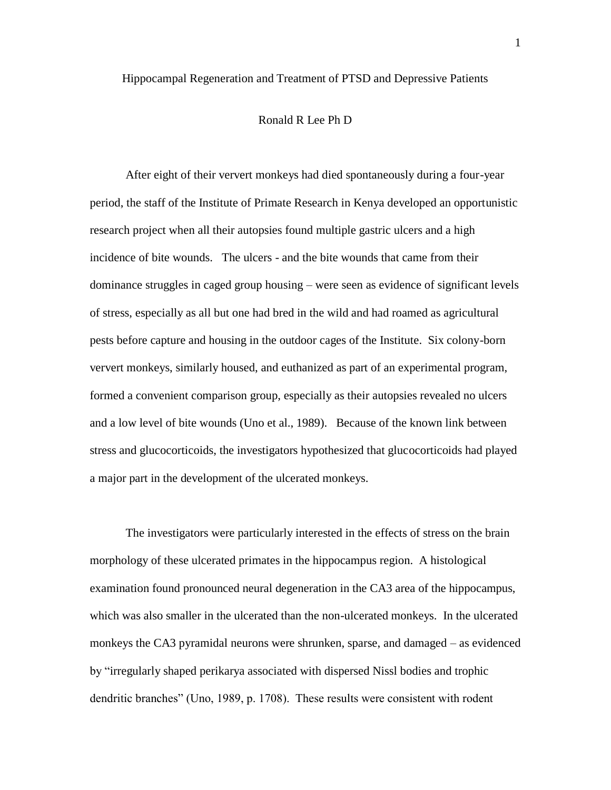# Hippocampal Regeneration and Treatment of PTSD and Depressive Patients

# Ronald R Lee Ph D

After eight of their ververt monkeys had died spontaneously during a four-year period, the staff of the Institute of Primate Research in Kenya developed an opportunistic research project when all their autopsies found multiple gastric ulcers and a high incidence of bite wounds. The ulcers - and the bite wounds that came from their dominance struggles in caged group housing – were seen as evidence of significant levels of stress, especially as all but one had bred in the wild and had roamed as agricultural pests before capture and housing in the outdoor cages of the Institute. Six colony-born ververt monkeys, similarly housed, and euthanized as part of an experimental program, formed a convenient comparison group, especially as their autopsies revealed no ulcers and a low level of bite wounds (Uno et al., 1989). Because of the known link between stress and glucocorticoids, the investigators hypothesized that glucocorticoids had played a major part in the development of the ulcerated monkeys.

The investigators were particularly interested in the effects of stress on the brain morphology of these ulcerated primates in the hippocampus region. A histological examination found pronounced neural degeneration in the CA3 area of the hippocampus, which was also smaller in the ulcerated than the non-ulcerated monkeys. In the ulcerated monkeys the CA3 pyramidal neurons were shrunken, sparse, and damaged – as evidenced by "irregularly shaped perikarya associated with dispersed Nissl bodies and trophic dendritic branches" (Uno, 1989, p. 1708). These results were consistent with rodent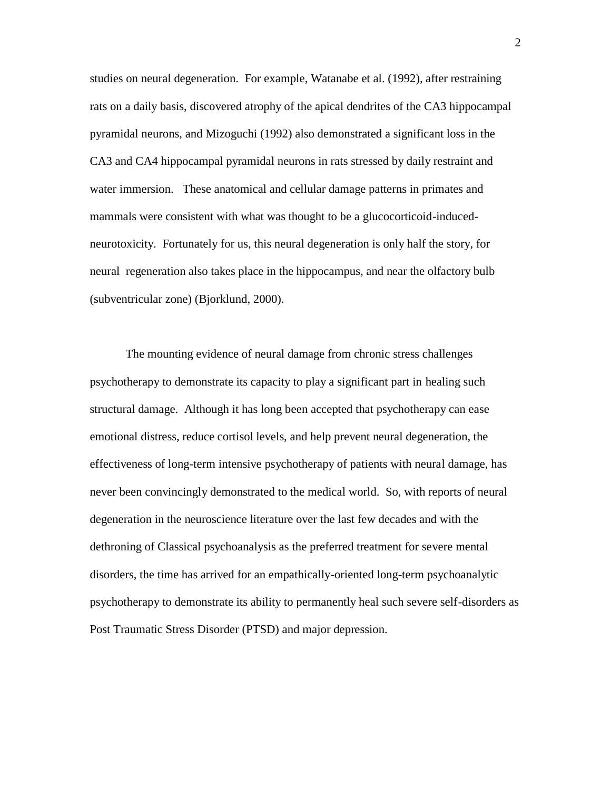studies on neural degeneration. For example, Watanabe et al. (1992), after restraining rats on a daily basis, discovered atrophy of the apical dendrites of the CA3 hippocampal pyramidal neurons, and Mizoguchi (1992) also demonstrated a significant loss in the CA3 and CA4 hippocampal pyramidal neurons in rats stressed by daily restraint and water immersion. These anatomical and cellular damage patterns in primates and mammals were consistent with what was thought to be a glucocorticoid-inducedneurotoxicity. Fortunately for us, this neural degeneration is only half the story, for neural regeneration also takes place in the hippocampus, and near the olfactory bulb (subventricular zone) (Bjorklund, 2000).

The mounting evidence of neural damage from chronic stress challenges psychotherapy to demonstrate its capacity to play a significant part in healing such structural damage. Although it has long been accepted that psychotherapy can ease emotional distress, reduce cortisol levels, and help prevent neural degeneration, the effectiveness of long-term intensive psychotherapy of patients with neural damage, has never been convincingly demonstrated to the medical world. So, with reports of neural degeneration in the neuroscience literature over the last few decades and with the dethroning of Classical psychoanalysis as the preferred treatment for severe mental disorders, the time has arrived for an empathically-oriented long-term psychoanalytic psychotherapy to demonstrate its ability to permanently heal such severe self-disorders as Post Traumatic Stress Disorder (PTSD) and major depression.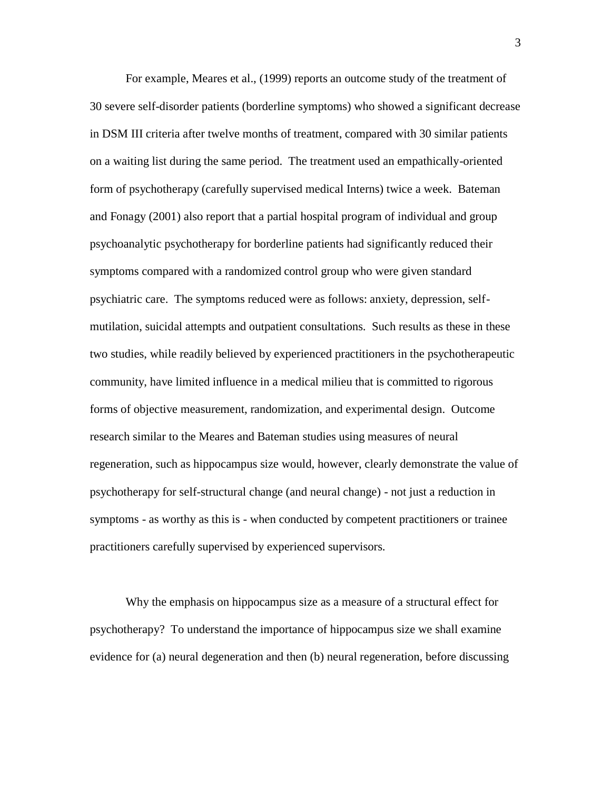For example, Meares et al., (1999) reports an outcome study of the treatment of 30 severe self-disorder patients (borderline symptoms) who showed a significant decrease in DSM III criteria after twelve months of treatment, compared with 30 similar patients on a waiting list during the same period. The treatment used an empathically-oriented form of psychotherapy (carefully supervised medical Interns) twice a week. Bateman and Fonagy (2001) also report that a partial hospital program of individual and group psychoanalytic psychotherapy for borderline patients had significantly reduced their symptoms compared with a randomized control group who were given standard psychiatric care. The symptoms reduced were as follows: anxiety, depression, selfmutilation, suicidal attempts and outpatient consultations. Such results as these in these two studies, while readily believed by experienced practitioners in the psychotherapeutic community, have limited influence in a medical milieu that is committed to rigorous forms of objective measurement, randomization, and experimental design. Outcome research similar to the Meares and Bateman studies using measures of neural regeneration, such as hippocampus size would, however, clearly demonstrate the value of psychotherapy for self-structural change (and neural change) - not just a reduction in symptoms - as worthy as this is - when conducted by competent practitioners or trainee practitioners carefully supervised by experienced supervisors.

Why the emphasis on hippocampus size as a measure of a structural effect for psychotherapy? To understand the importance of hippocampus size we shall examine evidence for (a) neural degeneration and then (b) neural regeneration, before discussing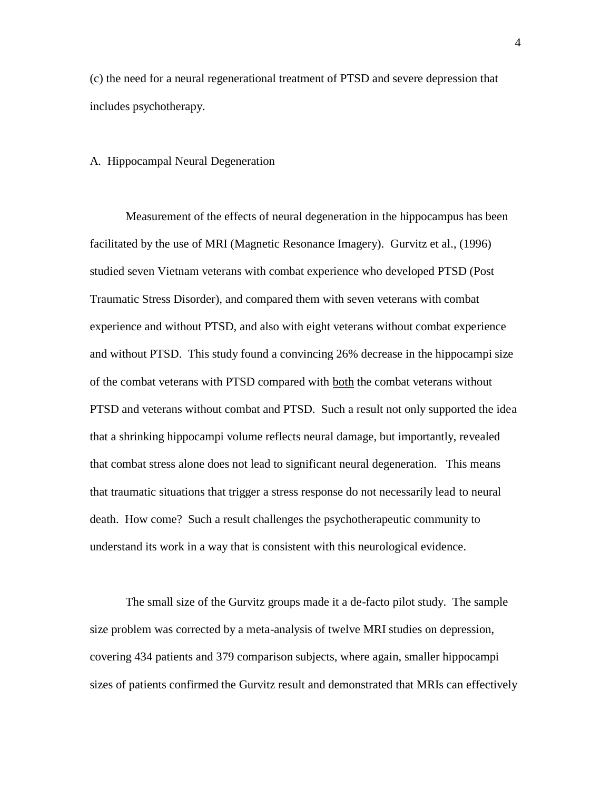(c) the need for a neural regenerational treatment of PTSD and severe depression that includes psychotherapy.

# A. Hippocampal Neural Degeneration

Measurement of the effects of neural degeneration in the hippocampus has been facilitated by the use of MRI (Magnetic Resonance Imagery). Gurvitz et al., (1996) studied seven Vietnam veterans with combat experience who developed PTSD (Post Traumatic Stress Disorder), and compared them with seven veterans with combat experience and without PTSD, and also with eight veterans without combat experience and without PTSD. This study found a convincing 26% decrease in the hippocampi size of the combat veterans with PTSD compared with both the combat veterans without PTSD and veterans without combat and PTSD. Such a result not only supported the idea that a shrinking hippocampi volume reflects neural damage, but importantly, revealed that combat stress alone does not lead to significant neural degeneration. This means that traumatic situations that trigger a stress response do not necessarily lead to neural death. How come? Such a result challenges the psychotherapeutic community to understand its work in a way that is consistent with this neurological evidence.

The small size of the Gurvitz groups made it a de-facto pilot study. The sample size problem was corrected by a meta-analysis of twelve MRI studies on depression, covering 434 patients and 379 comparison subjects, where again, smaller hippocampi sizes of patients confirmed the Gurvitz result and demonstrated that MRIs can effectively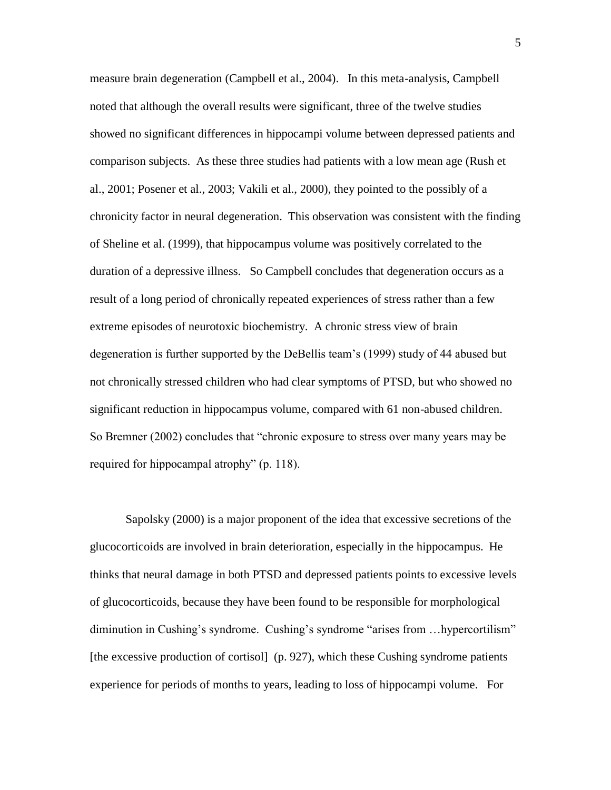measure brain degeneration (Campbell et al., 2004). In this meta-analysis, Campbell noted that although the overall results were significant, three of the twelve studies showed no significant differences in hippocampi volume between depressed patients and comparison subjects. As these three studies had patients with a low mean age (Rush et al., 2001; Posener et al., 2003; Vakili et al., 2000), they pointed to the possibly of a chronicity factor in neural degeneration. This observation was consistent with the finding of Sheline et al. (1999), that hippocampus volume was positively correlated to the duration of a depressive illness. So Campbell concludes that degeneration occurs as a result of a long period of chronically repeated experiences of stress rather than a few extreme episodes of neurotoxic biochemistry. A chronic stress view of brain degeneration is further supported by the DeBellis team"s (1999) study of 44 abused but not chronically stressed children who had clear symptoms of PTSD, but who showed no significant reduction in hippocampus volume, compared with 61 non-abused children. So Bremner (2002) concludes that "chronic exposure to stress over many years may be required for hippocampal atrophy" (p. 118).

Sapolsky (2000) is a major proponent of the idea that excessive secretions of the glucocorticoids are involved in brain deterioration, especially in the hippocampus. He thinks that neural damage in both PTSD and depressed patients points to excessive levels of glucocorticoids, because they have been found to be responsible for morphological diminution in Cushing"s syndrome. Cushing"s syndrome "arises from …hypercortilism" [the excessive production of cortisol] (p. 927), which these Cushing syndrome patients experience for periods of months to years, leading to loss of hippocampi volume. For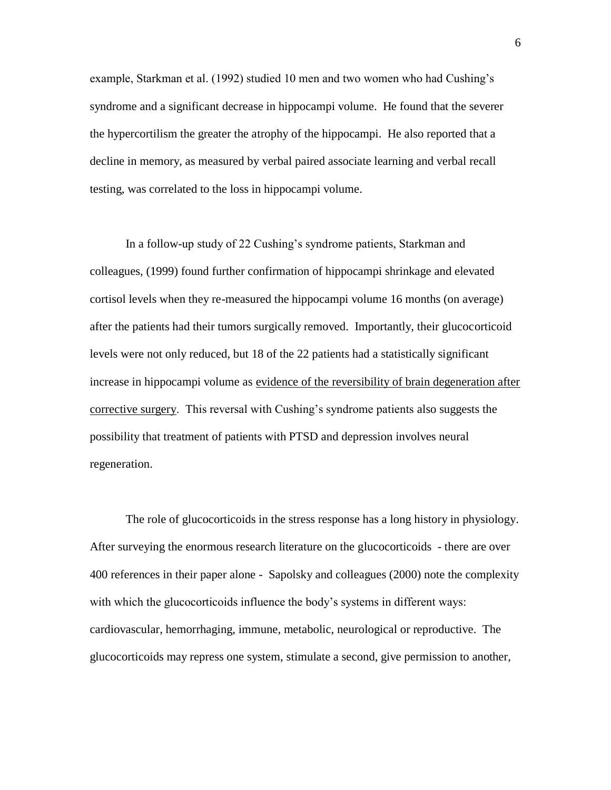example, Starkman et al. (1992) studied 10 men and two women who had Cushing"s syndrome and a significant decrease in hippocampi volume. He found that the severer the hypercortilism the greater the atrophy of the hippocampi. He also reported that a decline in memory, as measured by verbal paired associate learning and verbal recall testing, was correlated to the loss in hippocampi volume.

In a follow-up study of 22 Cushing's syndrome patients, Starkman and colleagues, (1999) found further confirmation of hippocampi shrinkage and elevated cortisol levels when they re-measured the hippocampi volume 16 months (on average) after the patients had their tumors surgically removed. Importantly, their glucocorticoid levels were not only reduced, but 18 of the 22 patients had a statistically significant increase in hippocampi volume as evidence of the reversibility of brain degeneration after corrective surgery. This reversal with Cushing"s syndrome patients also suggests the possibility that treatment of patients with PTSD and depression involves neural regeneration.

The role of glucocorticoids in the stress response has a long history in physiology. After surveying the enormous research literature on the glucocorticoids - there are over 400 references in their paper alone - Sapolsky and colleagues (2000) note the complexity with which the glucocorticoids influence the body's systems in different ways: cardiovascular, hemorrhaging, immune, metabolic, neurological or reproductive. The glucocorticoids may repress one system, stimulate a second, give permission to another,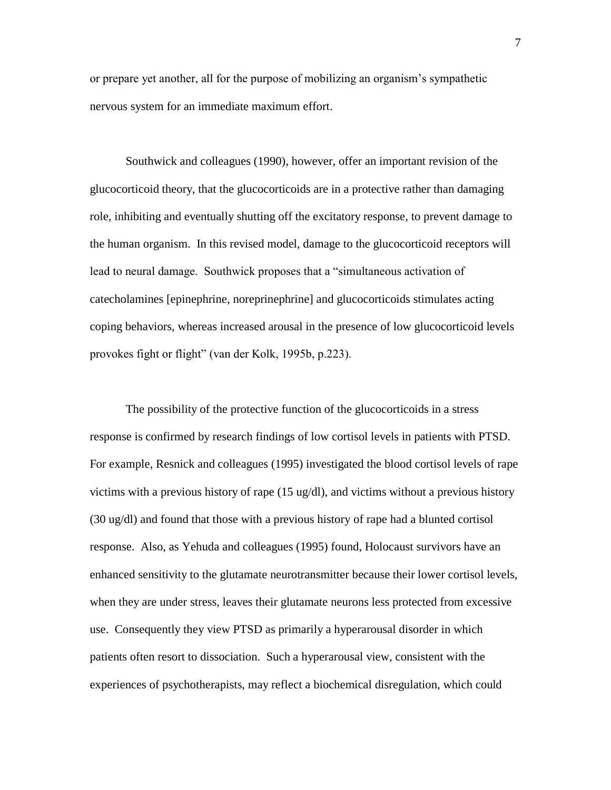or prepare yet another, all for the purpose of mobilizing an organism"s sympathetic nervous system for an immediate maximum effort.

Southwick and colleagues (1990), however, offer an important revision of the glucocorticoid theory, that the glucocorticoids are in a protective rather than damaging role, inhibiting and eventually shutting off the excitatory response, to prevent damage to the human organism. In this revised model, damage to the glucocorticoid receptors will lead to neural damage. Southwick proposes that a "simultaneous activation of catecholamines [epinephrine, noreprinephrine] and glucocorticoids stimulates acting coping behaviors, whereas increased arousal in the presence of low glucocorticoid levels provokes fight or flight" (van der Kolk, 1995b, p.223).

The possibility of the protective function of the glucocorticoids in a stress response is confirmed by research findings of low cortisol levels in patients with PTSD. For example, Resnick and colleagues (1995) investigated the blood cortisol levels of rape victims with a previous history of rape (15 ug/dl), and victims without a previous history (30 ug/dl) and found that those with a previous history of rape had a blunted cortisol response. Also, as Yehuda and colleagues (1995) found, Holocaust survivors have an enhanced sensitivity to the glutamate neurotransmitter because their lower cortisol levels, when they are under stress, leaves their glutamate neurons less protected from excessive use. Consequently they view PTSD as primarily a hyperarousal disorder in which patients often resort to dissociation. Such a hyperarousal view, consistent with the experiences of psychotherapists, may reflect a biochemical disregulation, which could

7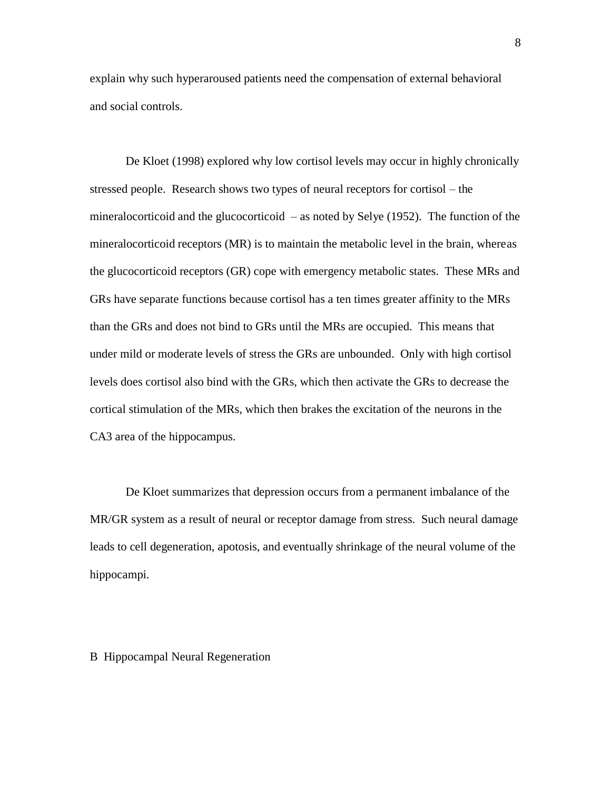explain why such hyperaroused patients need the compensation of external behavioral and social controls.

De Kloet (1998) explored why low cortisol levels may occur in highly chronically stressed people. Research shows two types of neural receptors for cortisol – the mineralocorticoid and the glucocorticoid – as noted by Selye (1952). The function of the mineralocorticoid receptors (MR) is to maintain the metabolic level in the brain, whereas the glucocorticoid receptors (GR) cope with emergency metabolic states. These MRs and GRs have separate functions because cortisol has a ten times greater affinity to the MRs than the GRs and does not bind to GRs until the MRs are occupied. This means that under mild or moderate levels of stress the GRs are unbounded. Only with high cortisol levels does cortisol also bind with the GRs, which then activate the GRs to decrease the cortical stimulation of the MRs, which then brakes the excitation of the neurons in the CA3 area of the hippocampus.

De Kloet summarizes that depression occurs from a permanent imbalance of the MR/GR system as a result of neural or receptor damage from stress. Such neural damage leads to cell degeneration, apotosis, and eventually shrinkage of the neural volume of the hippocampi.

B Hippocampal Neural Regeneration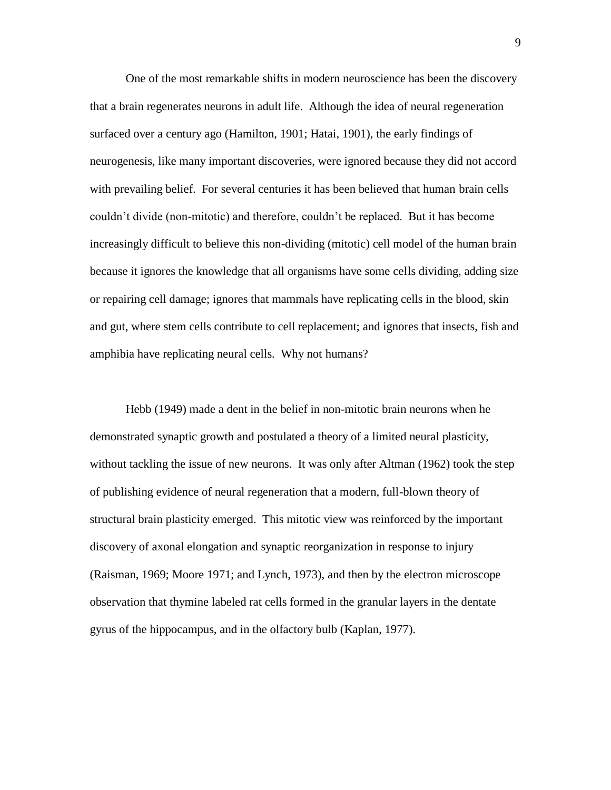One of the most remarkable shifts in modern neuroscience has been the discovery that a brain regenerates neurons in adult life. Although the idea of neural regeneration surfaced over a century ago (Hamilton, 1901; Hatai, 1901), the early findings of neurogenesis, like many important discoveries, were ignored because they did not accord with prevailing belief. For several centuries it has been believed that human brain cells couldn"t divide (non-mitotic) and therefore, couldn"t be replaced. But it has become increasingly difficult to believe this non-dividing (mitotic) cell model of the human brain because it ignores the knowledge that all organisms have some cells dividing, adding size or repairing cell damage; ignores that mammals have replicating cells in the blood, skin and gut, where stem cells contribute to cell replacement; and ignores that insects, fish and amphibia have replicating neural cells. Why not humans?

Hebb (1949) made a dent in the belief in non-mitotic brain neurons when he demonstrated synaptic growth and postulated a theory of a limited neural plasticity, without tackling the issue of new neurons. It was only after Altman (1962) took the step of publishing evidence of neural regeneration that a modern, full-blown theory of structural brain plasticity emerged. This mitotic view was reinforced by the important discovery of axonal elongation and synaptic reorganization in response to injury (Raisman, 1969; Moore 1971; and Lynch, 1973), and then by the electron microscope observation that thymine labeled rat cells formed in the granular layers in the dentate gyrus of the hippocampus, and in the olfactory bulb (Kaplan, 1977).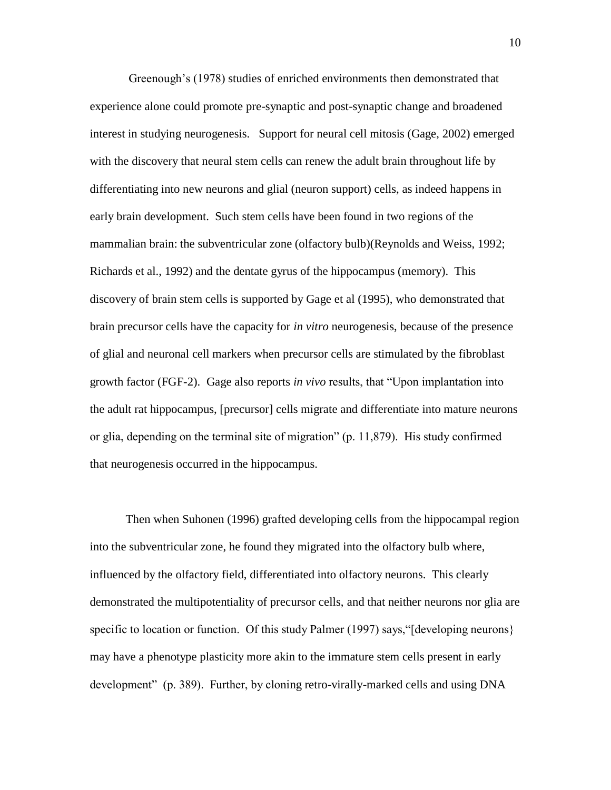Greenough"s (1978) studies of enriched environments then demonstrated that experience alone could promote pre-synaptic and post-synaptic change and broadened interest in studying neurogenesis. Support for neural cell mitosis (Gage, 2002) emerged with the discovery that neural stem cells can renew the adult brain throughout life by differentiating into new neurons and glial (neuron support) cells, as indeed happens in early brain development. Such stem cells have been found in two regions of the mammalian brain: the subventricular zone (olfactory bulb)(Reynolds and Weiss, 1992; Richards et al., 1992) and the dentate gyrus of the hippocampus (memory). This discovery of brain stem cells is supported by Gage et al (1995), who demonstrated that brain precursor cells have the capacity for *in vitro* neurogenesis, because of the presence of glial and neuronal cell markers when precursor cells are stimulated by the fibroblast growth factor (FGF-2). Gage also reports *in vivo* results, that "Upon implantation into the adult rat hippocampus, [precursor] cells migrate and differentiate into mature neurons or glia, depending on the terminal site of migration" (p. 11,879). His study confirmed that neurogenesis occurred in the hippocampus.

Then when Suhonen (1996) grafted developing cells from the hippocampal region into the subventricular zone, he found they migrated into the olfactory bulb where, influenced by the olfactory field, differentiated into olfactory neurons. This clearly demonstrated the multipotentiality of precursor cells, and that neither neurons nor glia are specific to location or function. Of this study Palmer (1997) says, "[developing neurons} may have a phenotype plasticity more akin to the immature stem cells present in early development" (p. 389). Further, by cloning retro-virally-marked cells and using DNA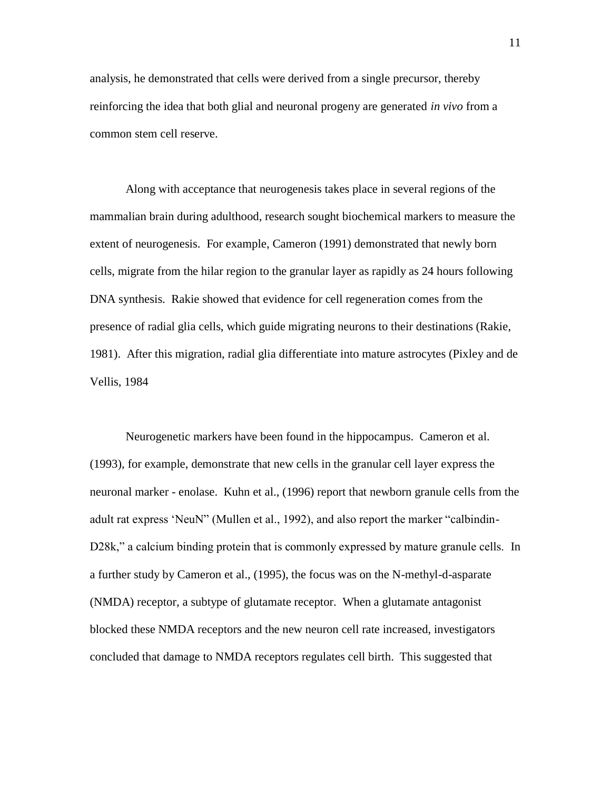analysis, he demonstrated that cells were derived from a single precursor, thereby reinforcing the idea that both glial and neuronal progeny are generated *in vivo* from a common stem cell reserve.

Along with acceptance that neurogenesis takes place in several regions of the mammalian brain during adulthood, research sought biochemical markers to measure the extent of neurogenesis. For example, Cameron (1991) demonstrated that newly born cells, migrate from the hilar region to the granular layer as rapidly as 24 hours following DNA synthesis. Rakie showed that evidence for cell regeneration comes from the presence of radial glia cells, which guide migrating neurons to their destinations (Rakie, 1981). After this migration, radial glia differentiate into mature astrocytes (Pixley and de Vellis, 1984

Neurogenetic markers have been found in the hippocampus. Cameron et al. (1993), for example, demonstrate that new cells in the granular cell layer express the neuronal marker - enolase. Kuhn et al., (1996) report that newborn granule cells from the adult rat express "NeuN" (Mullen et al., 1992), and also report the marker "calbindin-D28k," a calcium binding protein that is commonly expressed by mature granule cells. In a further study by Cameron et al., (1995), the focus was on the N-methyl-d-asparate (NMDA) receptor, a subtype of glutamate receptor. When a glutamate antagonist blocked these NMDA receptors and the new neuron cell rate increased, investigators concluded that damage to NMDA receptors regulates cell birth. This suggested that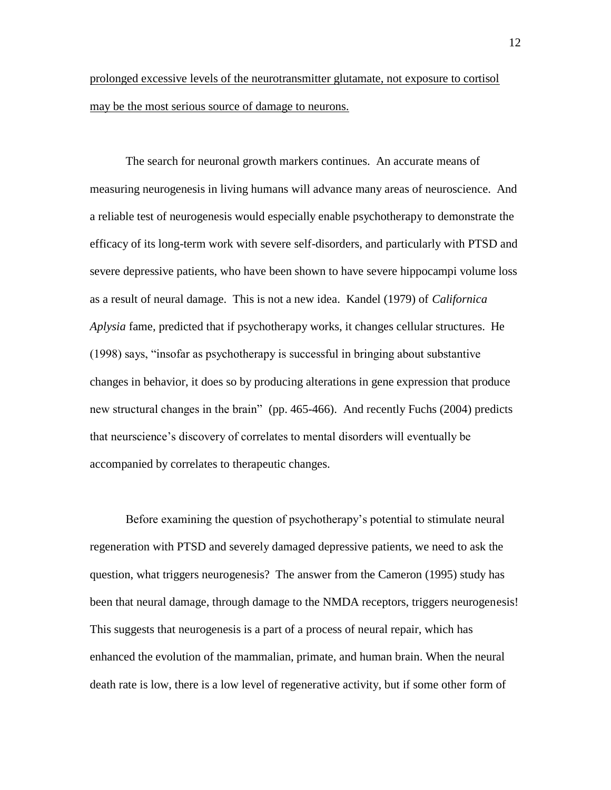prolonged excessive levels of the neurotransmitter glutamate, not exposure to cortisol may be the most serious source of damage to neurons.

The search for neuronal growth markers continues. An accurate means of measuring neurogenesis in living humans will advance many areas of neuroscience. And a reliable test of neurogenesis would especially enable psychotherapy to demonstrate the efficacy of its long-term work with severe self-disorders, and particularly with PTSD and severe depressive patients, who have been shown to have severe hippocampi volume loss as a result of neural damage. This is not a new idea. Kandel (1979) of *Californica Aplysia* fame, predicted that if psychotherapy works, it changes cellular structures. He (1998) says, "insofar as psychotherapy is successful in bringing about substantive changes in behavior, it does so by producing alterations in gene expression that produce new structural changes in the brain" (pp. 465-466). And recently Fuchs (2004) predicts that neurscience"s discovery of correlates to mental disorders will eventually be accompanied by correlates to therapeutic changes.

Before examining the question of psychotherapy"s potential to stimulate neural regeneration with PTSD and severely damaged depressive patients, we need to ask the question, what triggers neurogenesis? The answer from the Cameron (1995) study has been that neural damage, through damage to the NMDA receptors, triggers neurogenesis! This suggests that neurogenesis is a part of a process of neural repair, which has enhanced the evolution of the mammalian, primate, and human brain. When the neural death rate is low, there is a low level of regenerative activity, but if some other form of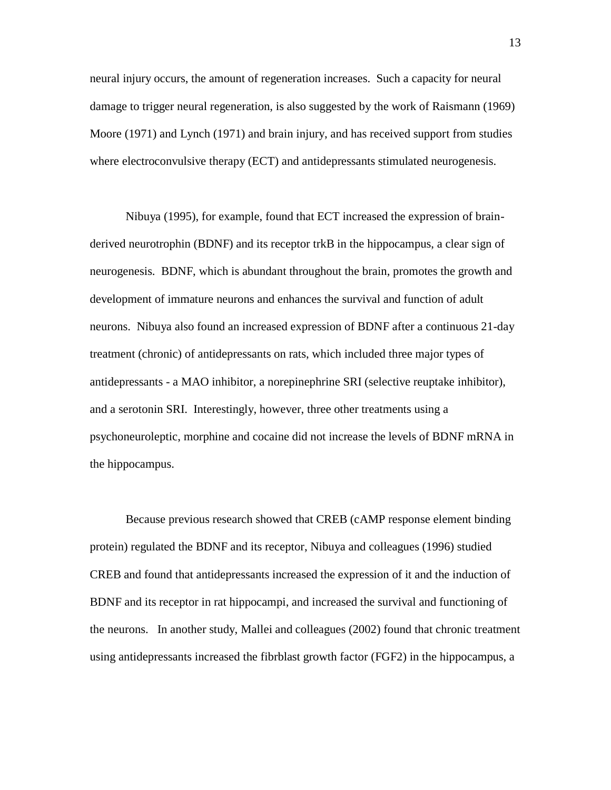neural injury occurs, the amount of regeneration increases. Such a capacity for neural damage to trigger neural regeneration, is also suggested by the work of Raismann (1969) Moore (1971) and Lynch (1971) and brain injury, and has received support from studies where electroconvulsive therapy (ECT) and antidepressants stimulated neurogenesis.

Nibuya (1995), for example, found that ECT increased the expression of brainderived neurotrophin (BDNF) and its receptor trkB in the hippocampus, a clear sign of neurogenesis. BDNF, which is abundant throughout the brain, promotes the growth and development of immature neurons and enhances the survival and function of adult neurons. Nibuya also found an increased expression of BDNF after a continuous 21-day treatment (chronic) of antidepressants on rats, which included three major types of antidepressants - a MAO inhibitor, a norepinephrine SRI (selective reuptake inhibitor), and a serotonin SRI. Interestingly, however, three other treatments using a psychoneuroleptic, morphine and cocaine did not increase the levels of BDNF mRNA in the hippocampus.

Because previous research showed that CREB (cAMP response element binding protein) regulated the BDNF and its receptor, Nibuya and colleagues (1996) studied CREB and found that antidepressants increased the expression of it and the induction of BDNF and its receptor in rat hippocampi, and increased the survival and functioning of the neurons. In another study, Mallei and colleagues (2002) found that chronic treatment using antidepressants increased the fibrblast growth factor (FGF2) in the hippocampus, a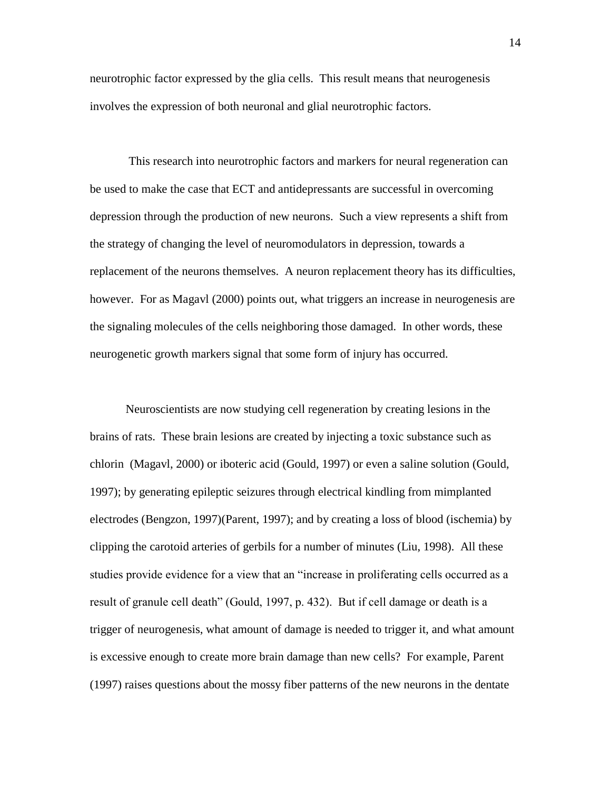neurotrophic factor expressed by the glia cells. This result means that neurogenesis involves the expression of both neuronal and glial neurotrophic factors.

This research into neurotrophic factors and markers for neural regeneration can be used to make the case that ECT and antidepressants are successful in overcoming depression through the production of new neurons. Such a view represents a shift from the strategy of changing the level of neuromodulators in depression, towards a replacement of the neurons themselves. A neuron replacement theory has its difficulties, however. For as Magavl (2000) points out, what triggers an increase in neurogenesis are the signaling molecules of the cells neighboring those damaged. In other words, these neurogenetic growth markers signal that some form of injury has occurred.

Neuroscientists are now studying cell regeneration by creating lesions in the brains of rats. These brain lesions are created by injecting a toxic substance such as chlorin (Magavl, 2000) or iboteric acid (Gould, 1997) or even a saline solution (Gould, 1997); by generating epileptic seizures through electrical kindling from mimplanted electrodes (Bengzon, 1997)(Parent, 1997); and by creating a loss of blood (ischemia) by clipping the carotoid arteries of gerbils for a number of minutes (Liu, 1998). All these studies provide evidence for a view that an "increase in proliferating cells occurred as a result of granule cell death" (Gould, 1997, p. 432). But if cell damage or death is a trigger of neurogenesis, what amount of damage is needed to trigger it, and what amount is excessive enough to create more brain damage than new cells? For example, Parent (1997) raises questions about the mossy fiber patterns of the new neurons in the dentate

14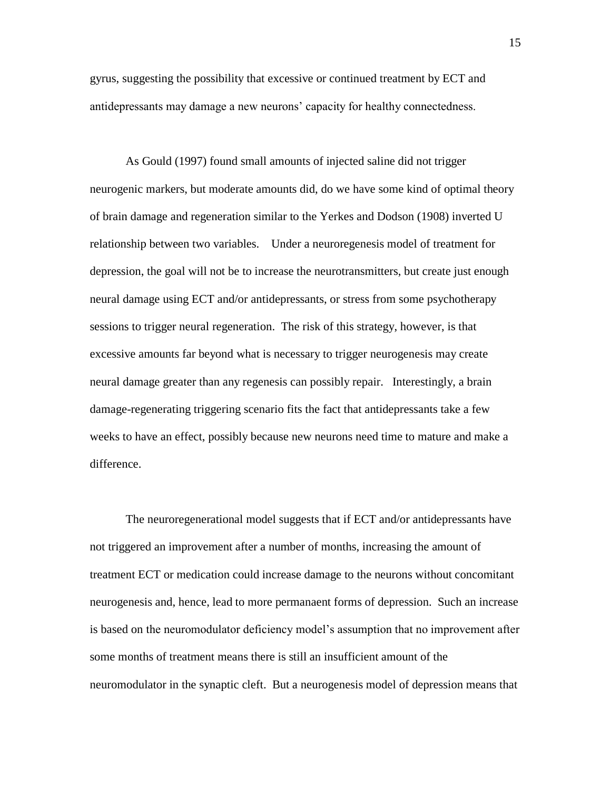gyrus, suggesting the possibility that excessive or continued treatment by ECT and antidepressants may damage a new neurons' capacity for healthy connectedness.

As Gould (1997) found small amounts of injected saline did not trigger neurogenic markers, but moderate amounts did, do we have some kind of optimal theory of brain damage and regeneration similar to the Yerkes and Dodson (1908) inverted U relationship between two variables. Under a neuroregenesis model of treatment for depression, the goal will not be to increase the neurotransmitters, but create just enough neural damage using ECT and/or antidepressants, or stress from some psychotherapy sessions to trigger neural regeneration. The risk of this strategy, however, is that excessive amounts far beyond what is necessary to trigger neurogenesis may create neural damage greater than any regenesis can possibly repair. Interestingly, a brain damage-regenerating triggering scenario fits the fact that antidepressants take a few weeks to have an effect, possibly because new neurons need time to mature and make a difference.

The neuroregenerational model suggests that if ECT and/or antidepressants have not triggered an improvement after a number of months, increasing the amount of treatment ECT or medication could increase damage to the neurons without concomitant neurogenesis and, hence, lead to more permanaent forms of depression. Such an increase is based on the neuromodulator deficiency model"s assumption that no improvement after some months of treatment means there is still an insufficient amount of the neuromodulator in the synaptic cleft. But a neurogenesis model of depression means that

15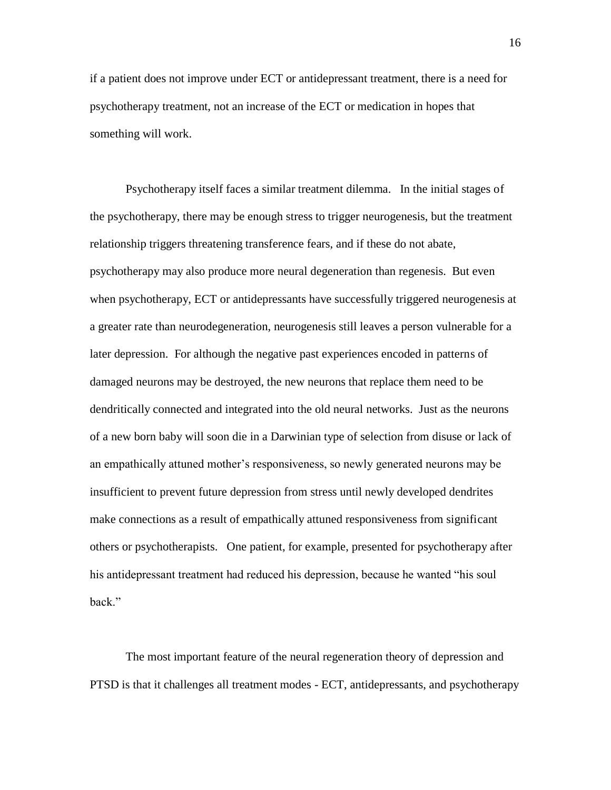if a patient does not improve under ECT or antidepressant treatment, there is a need for psychotherapy treatment, not an increase of the ECT or medication in hopes that something will work.

Psychotherapy itself faces a similar treatment dilemma. In the initial stages of the psychotherapy, there may be enough stress to trigger neurogenesis, but the treatment relationship triggers threatening transference fears, and if these do not abate, psychotherapy may also produce more neural degeneration than regenesis. But even when psychotherapy, ECT or antidepressants have successfully triggered neurogenesis at a greater rate than neurodegeneration, neurogenesis still leaves a person vulnerable for a later depression. For although the negative past experiences encoded in patterns of damaged neurons may be destroyed, the new neurons that replace them need to be dendritically connected and integrated into the old neural networks. Just as the neurons of a new born baby will soon die in a Darwinian type of selection from disuse or lack of an empathically attuned mother"s responsiveness, so newly generated neurons may be insufficient to prevent future depression from stress until newly developed dendrites make connections as a result of empathically attuned responsiveness from significant others or psychotherapists. One patient, for example, presented for psychotherapy after his antidepressant treatment had reduced his depression, because he wanted "his soul back."

The most important feature of the neural regeneration theory of depression and PTSD is that it challenges all treatment modes - ECT, antidepressants, and psychotherapy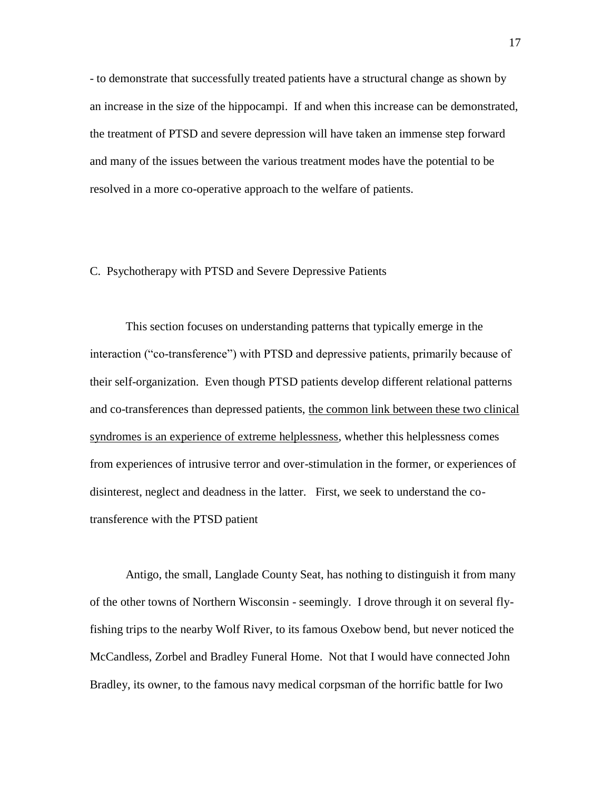- to demonstrate that successfully treated patients have a structural change as shown by an increase in the size of the hippocampi. If and when this increase can be demonstrated, the treatment of PTSD and severe depression will have taken an immense step forward and many of the issues between the various treatment modes have the potential to be resolved in a more co-operative approach to the welfare of patients.

### C. Psychotherapy with PTSD and Severe Depressive Patients

This section focuses on understanding patterns that typically emerge in the interaction ("co-transference") with PTSD and depressive patients, primarily because of their self-organization. Even though PTSD patients develop different relational patterns and co-transferences than depressed patients, the common link between these two clinical syndromes is an experience of extreme helplessness, whether this helplessness comes from experiences of intrusive terror and over-stimulation in the former, or experiences of disinterest, neglect and deadness in the latter. First, we seek to understand the cotransference with the PTSD patient

Antigo, the small, Langlade County Seat, has nothing to distinguish it from many of the other towns of Northern Wisconsin - seemingly. I drove through it on several flyfishing trips to the nearby Wolf River, to its famous Oxebow bend, but never noticed the McCandless, Zorbel and Bradley Funeral Home. Not that I would have connected John Bradley, its owner, to the famous navy medical corpsman of the horrific battle for Iwo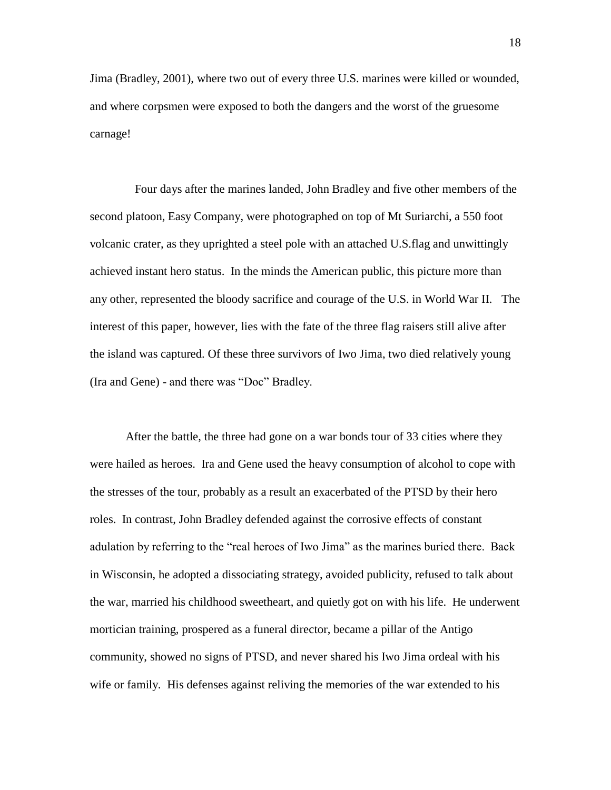Jima (Bradley, 2001), where two out of every three U.S. marines were killed or wounded, and where corpsmen were exposed to both the dangers and the worst of the gruesome carnage!

 Four days after the marines landed, John Bradley and five other members of the second platoon, Easy Company, were photographed on top of Mt Suriarchi, a 550 foot volcanic crater, as they uprighted a steel pole with an attached U.S.flag and unwittingly achieved instant hero status. In the minds the American public, this picture more than any other, represented the bloody sacrifice and courage of the U.S. in World War II. The interest of this paper, however, lies with the fate of the three flag raisers still alive after the island was captured. Of these three survivors of Iwo Jima, two died relatively young (Ira and Gene) - and there was "Doc" Bradley.

After the battle, the three had gone on a war bonds tour of 33 cities where they were hailed as heroes. Ira and Gene used the heavy consumption of alcohol to cope with the stresses of the tour, probably as a result an exacerbated of the PTSD by their hero roles. In contrast, John Bradley defended against the corrosive effects of constant adulation by referring to the "real heroes of Iwo Jima" as the marines buried there. Back in Wisconsin, he adopted a dissociating strategy, avoided publicity, refused to talk about the war, married his childhood sweetheart, and quietly got on with his life. He underwent mortician training, prospered as a funeral director, became a pillar of the Antigo community, showed no signs of PTSD, and never shared his Iwo Jima ordeal with his wife or family. His defenses against reliving the memories of the war extended to his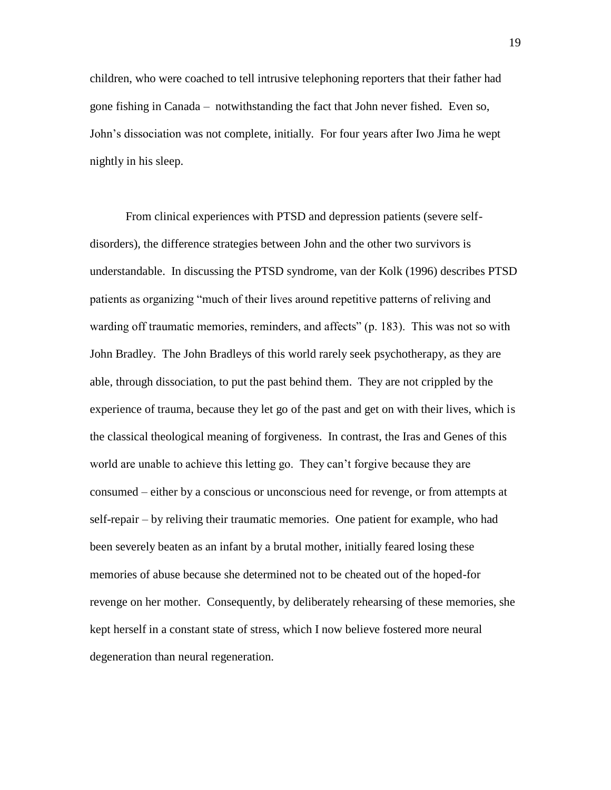children, who were coached to tell intrusive telephoning reporters that their father had gone fishing in Canada – notwithstanding the fact that John never fished. Even so, John"s dissociation was not complete, initially. For four years after Iwo Jima he wept nightly in his sleep.

From clinical experiences with PTSD and depression patients (severe selfdisorders), the difference strategies between John and the other two survivors is understandable. In discussing the PTSD syndrome, van der Kolk (1996) describes PTSD patients as organizing "much of their lives around repetitive patterns of reliving and warding off traumatic memories, reminders, and affects" (p. 183). This was not so with John Bradley. The John Bradleys of this world rarely seek psychotherapy, as they are able, through dissociation, to put the past behind them. They are not crippled by the experience of trauma, because they let go of the past and get on with their lives, which is the classical theological meaning of forgiveness. In contrast, the Iras and Genes of this world are unable to achieve this letting go. They can't forgive because they are consumed – either by a conscious or unconscious need for revenge, or from attempts at self-repair – by reliving their traumatic memories. One patient for example, who had been severely beaten as an infant by a brutal mother, initially feared losing these memories of abuse because she determined not to be cheated out of the hoped-for revenge on her mother. Consequently, by deliberately rehearsing of these memories, she kept herself in a constant state of stress, which I now believe fostered more neural degeneration than neural regeneration.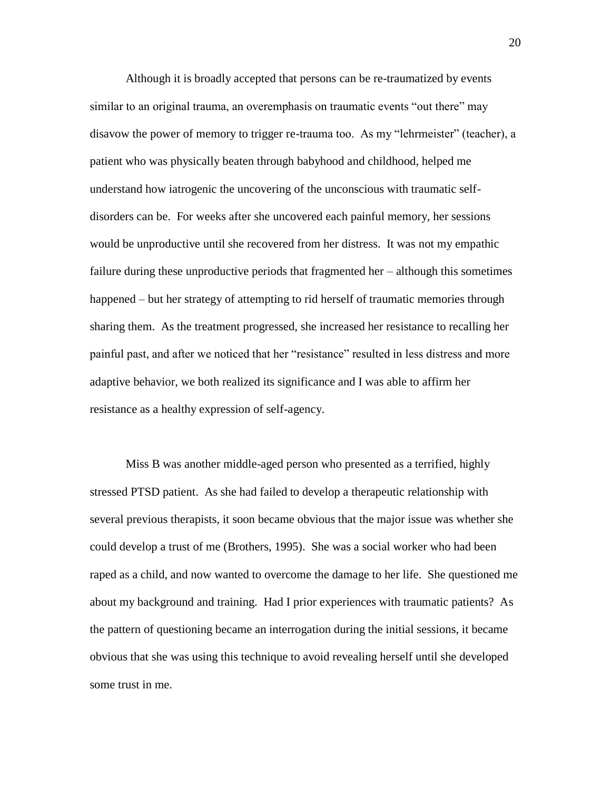Although it is broadly accepted that persons can be re-traumatized by events similar to an original trauma, an overemphasis on traumatic events "out there" may disavow the power of memory to trigger re-trauma too. As my "lehrmeister" (teacher), a patient who was physically beaten through babyhood and childhood, helped me understand how iatrogenic the uncovering of the unconscious with traumatic selfdisorders can be. For weeks after she uncovered each painful memory, her sessions would be unproductive until she recovered from her distress. It was not my empathic failure during these unproductive periods that fragmented her – although this sometimes happened – but her strategy of attempting to rid herself of traumatic memories through sharing them. As the treatment progressed, she increased her resistance to recalling her painful past, and after we noticed that her "resistance" resulted in less distress and more adaptive behavior, we both realized its significance and I was able to affirm her resistance as a healthy expression of self-agency.

Miss B was another middle-aged person who presented as a terrified, highly stressed PTSD patient. As she had failed to develop a therapeutic relationship with several previous therapists, it soon became obvious that the major issue was whether she could develop a trust of me (Brothers, 1995). She was a social worker who had been raped as a child, and now wanted to overcome the damage to her life. She questioned me about my background and training. Had I prior experiences with traumatic patients? As the pattern of questioning became an interrogation during the initial sessions, it became obvious that she was using this technique to avoid revealing herself until she developed some trust in me.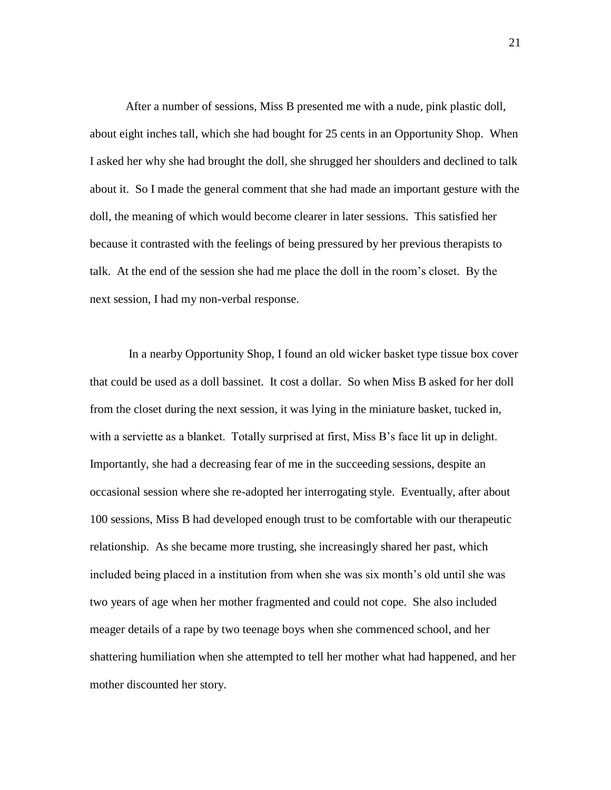After a number of sessions, Miss B presented me with a nude, pink plastic doll, about eight inches tall, which she had bought for 25 cents in an Opportunity Shop. When I asked her why she had brought the doll, she shrugged her shoulders and declined to talk about it. So I made the general comment that she had made an important gesture with the doll, the meaning of which would become clearer in later sessions. This satisfied her because it contrasted with the feelings of being pressured by her previous therapists to talk. At the end of the session she had me place the doll in the room"s closet. By the next session, I had my non-verbal response.

In a nearby Opportunity Shop, I found an old wicker basket type tissue box cover that could be used as a doll bassinet. It cost a dollar. So when Miss B asked for her doll from the closet during the next session, it was lying in the miniature basket, tucked in, with a serviette as a blanket. Totally surprised at first, Miss B's face lit up in delight. Importantly, she had a decreasing fear of me in the succeeding sessions, despite an occasional session where she re-adopted her interrogating style. Eventually, after about 100 sessions, Miss B had developed enough trust to be comfortable with our therapeutic relationship. As she became more trusting, she increasingly shared her past, which included being placed in a institution from when she was six month"s old until she was two years of age when her mother fragmented and could not cope. She also included meager details of a rape by two teenage boys when she commenced school, and her shattering humiliation when she attempted to tell her mother what had happened, and her mother discounted her story.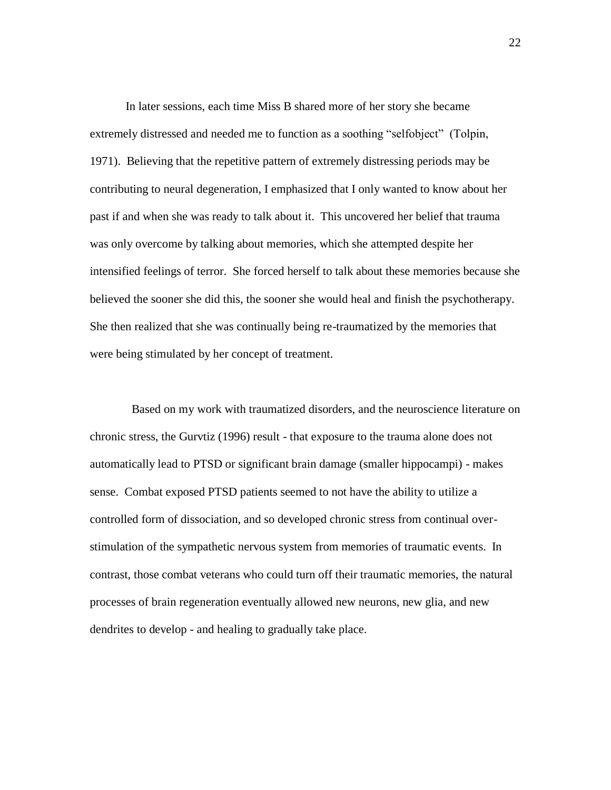In later sessions, each time Miss B shared more of her story she became extremely distressed and needed me to function as a soothing "selfobject" (Tolpin, 1971). Believing that the repetitive pattern of extremely distressing periods may be contributing to neural degeneration, I emphasized that I only wanted to know about her past if and when she was ready to talk about it. This uncovered her belief that trauma was only overcome by talking about memories, which she attempted despite her intensified feelings of terror. She forced herself to talk about these memories because she believed the sooner she did this, the sooner she would heal and finish the psychotherapy. She then realized that she was continually being re-traumatized by the memories that were being stimulated by her concept of treatment.

 Based on my work with traumatized disorders, and the neuroscience literature on chronic stress, the Gurvtiz (1996) result - that exposure to the trauma alone does not automatically lead to PTSD or significant brain damage (smaller hippocampi) - makes sense. Combat exposed PTSD patients seemed to not have the ability to utilize a controlled form of dissociation, and so developed chronic stress from continual overstimulation of the sympathetic nervous system from memories of traumatic events. In contrast, those combat veterans who could turn off their traumatic memories, the natural processes of brain regeneration eventually allowed new neurons, new glia, and new dendrites to develop - and healing to gradually take place.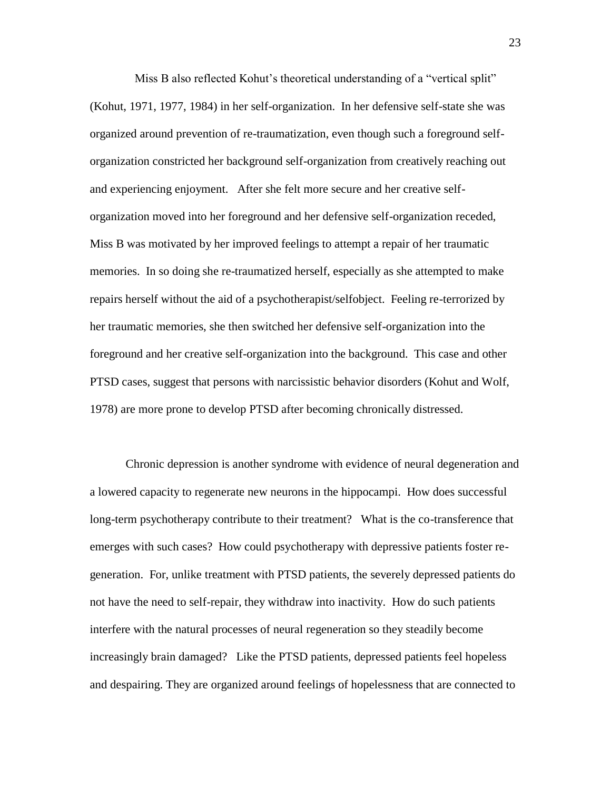Miss B also reflected Kohut"s theoretical understanding of a "vertical split" (Kohut, 1971, 1977, 1984) in her self-organization. In her defensive self-state she was organized around prevention of re-traumatization, even though such a foreground selforganization constricted her background self-organization from creatively reaching out and experiencing enjoyment. After she felt more secure and her creative selforganization moved into her foreground and her defensive self-organization receded, Miss B was motivated by her improved feelings to attempt a repair of her traumatic memories. In so doing she re-traumatized herself, especially as she attempted to make repairs herself without the aid of a psychotherapist/selfobject. Feeling re-terrorized by her traumatic memories, she then switched her defensive self-organization into the foreground and her creative self-organization into the background. This case and other PTSD cases, suggest that persons with narcissistic behavior disorders (Kohut and Wolf, 1978) are more prone to develop PTSD after becoming chronically distressed.

Chronic depression is another syndrome with evidence of neural degeneration and a lowered capacity to regenerate new neurons in the hippocampi. How does successful long-term psychotherapy contribute to their treatment? What is the co-transference that emerges with such cases? How could psychotherapy with depressive patients foster regeneration. For, unlike treatment with PTSD patients, the severely depressed patients do not have the need to self-repair, they withdraw into inactivity. How do such patients interfere with the natural processes of neural regeneration so they steadily become increasingly brain damaged? Like the PTSD patients, depressed patients feel hopeless and despairing. They are organized around feelings of hopelessness that are connected to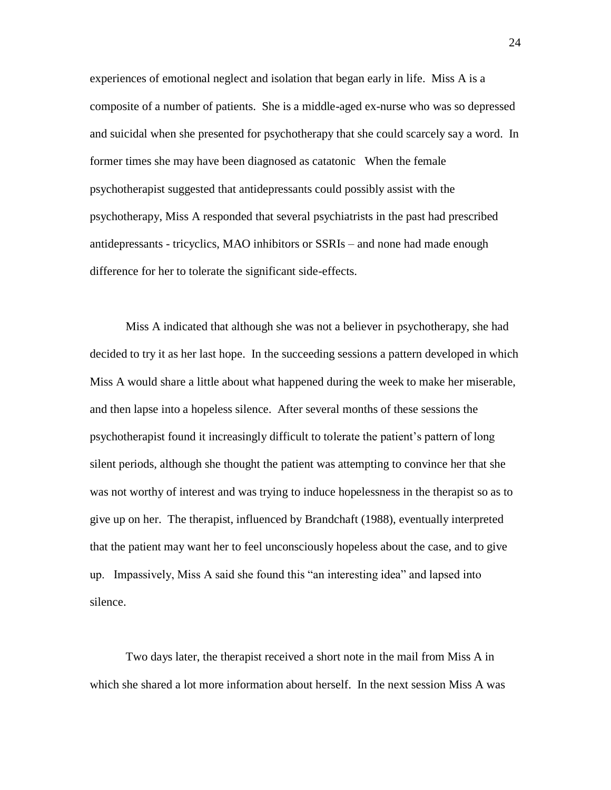experiences of emotional neglect and isolation that began early in life. Miss A is a composite of a number of patients. She is a middle-aged ex-nurse who was so depressed and suicidal when she presented for psychotherapy that she could scarcely say a word. In former times she may have been diagnosed as catatonic When the female psychotherapist suggested that antidepressants could possibly assist with the psychotherapy, Miss A responded that several psychiatrists in the past had prescribed antidepressants - tricyclics, MAO inhibitors or SSRIs – and none had made enough difference for her to tolerate the significant side-effects.

Miss A indicated that although she was not a believer in psychotherapy, she had decided to try it as her last hope. In the succeeding sessions a pattern developed in which Miss A would share a little about what happened during the week to make her miserable, and then lapse into a hopeless silence. After several months of these sessions the psychotherapist found it increasingly difficult to tolerate the patient"s pattern of long silent periods, although she thought the patient was attempting to convince her that she was not worthy of interest and was trying to induce hopelessness in the therapist so as to give up on her. The therapist, influenced by Brandchaft (1988), eventually interpreted that the patient may want her to feel unconsciously hopeless about the case, and to give up. Impassively, Miss A said she found this "an interesting idea" and lapsed into silence.

Two days later, the therapist received a short note in the mail from Miss A in which she shared a lot more information about herself. In the next session Miss A was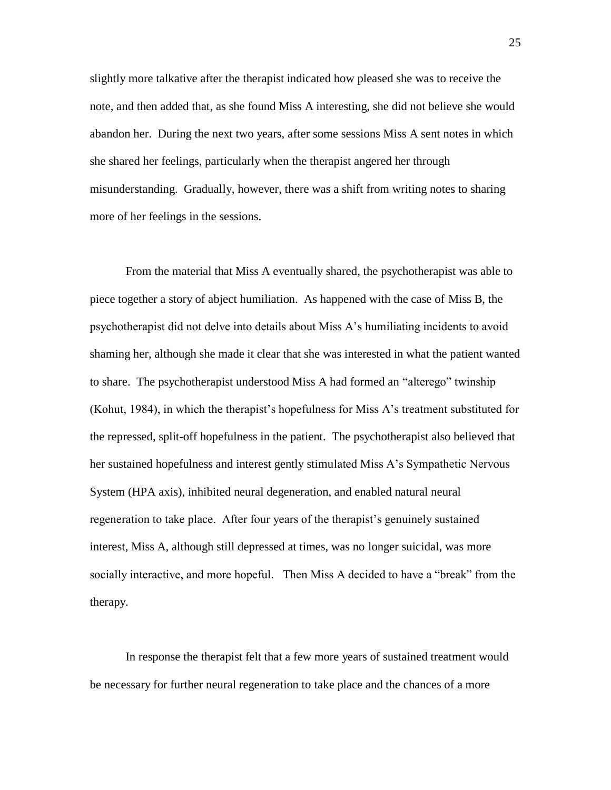slightly more talkative after the therapist indicated how pleased she was to receive the note, and then added that, as she found Miss A interesting, she did not believe she would abandon her. During the next two years, after some sessions Miss A sent notes in which she shared her feelings, particularly when the therapist angered her through misunderstanding. Gradually, however, there was a shift from writing notes to sharing more of her feelings in the sessions.

From the material that Miss A eventually shared, the psychotherapist was able to piece together a story of abject humiliation. As happened with the case of Miss B, the psychotherapist did not delve into details about Miss A"s humiliating incidents to avoid shaming her, although she made it clear that she was interested in what the patient wanted to share. The psychotherapist understood Miss A had formed an "alterego" twinship (Kohut, 1984), in which the therapist's hopefulness for Miss A's treatment substituted for the repressed, split-off hopefulness in the patient. The psychotherapist also believed that her sustained hopefulness and interest gently stimulated Miss A"s Sympathetic Nervous System (HPA axis), inhibited neural degeneration, and enabled natural neural regeneration to take place. After four years of the therapist's genuinely sustained interest, Miss A, although still depressed at times, was no longer suicidal, was more socially interactive, and more hopeful. Then Miss A decided to have a "break" from the therapy.

In response the therapist felt that a few more years of sustained treatment would be necessary for further neural regeneration to take place and the chances of a more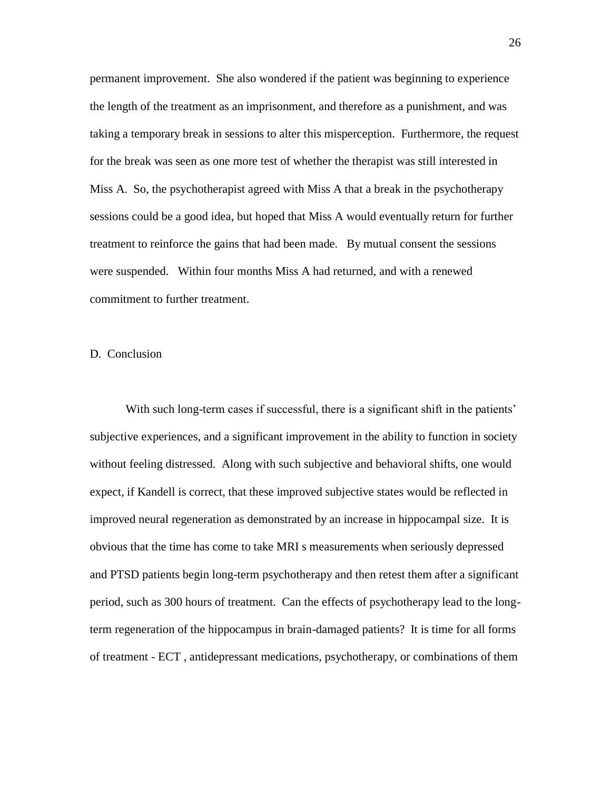permanent improvement. She also wondered if the patient was beginning to experience the length of the treatment as an imprisonment, and therefore as a punishment, and was taking a temporary break in sessions to alter this misperception. Furthermore, the request for the break was seen as one more test of whether the therapist was still interested in Miss A. So, the psychotherapist agreed with Miss A that a break in the psychotherapy sessions could be a good idea, but hoped that Miss A would eventually return for further treatment to reinforce the gains that had been made. By mutual consent the sessions were suspended. Within four months Miss A had returned, and with a renewed commitment to further treatment.

#### D. Conclusion

With such long-term cases if successful, there is a significant shift in the patients' subjective experiences, and a significant improvement in the ability to function in society without feeling distressed. Along with such subjective and behavioral shifts, one would expect, if Kandell is correct, that these improved subjective states would be reflected in improved neural regeneration as demonstrated by an increase in hippocampal size. It is obvious that the time has come to take MRI s measurements when seriously depressed and PTSD patients begin long-term psychotherapy and then retest them after a significant period, such as 300 hours of treatment. Can the effects of psychotherapy lead to the longterm regeneration of the hippocampus in brain-damaged patients? It is time for all forms of treatment - ECT , antidepressant medications, psychotherapy, or combinations of them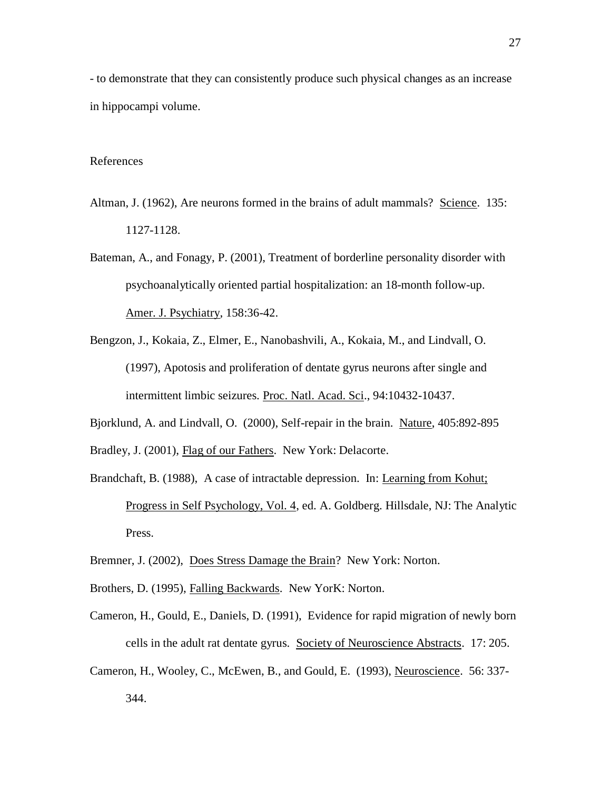- to demonstrate that they can consistently produce such physical changes as an increase in hippocampi volume.

# References

- Altman, J. (1962), Are neurons formed in the brains of adult mammals? Science. 135: 1127-1128.
- Bateman, A., and Fonagy, P. (2001), Treatment of borderline personality disorder with psychoanalytically oriented partial hospitalization: an 18-month follow-up. Amer. J. Psychiatry, 158:36-42.
- Bengzon, J., Kokaia, Z., Elmer, E., Nanobashvili, A., Kokaia, M., and Lindvall, O. (1997), Apotosis and proliferation of dentate gyrus neurons after single and intermittent limbic seizures. Proc. Natl. Acad. Sci., 94:10432-10437.
- Bjorklund, A. and Lindvall, O. (2000), Self-repair in the brain. Nature, 405:892-895

Bradley, J. (2001), Flag of our Fathers. New York: Delacorte.

- Brandchaft, B. (1988), A case of intractable depression. In: Learning from Kohut; Progress in Self Psychology, Vol. 4, ed. A. Goldberg. Hillsdale, NJ: The Analytic Press.
- Bremner, J. (2002), Does Stress Damage the Brain? New York: Norton.
- Brothers, D. (1995), Falling Backwards. New YorK: Norton.
- Cameron, H., Gould, E., Daniels, D. (1991), Evidence for rapid migration of newly born cells in the adult rat dentate gyrus. Society of Neuroscience Abstracts. 17: 205.
- Cameron, H., Wooley, C., McEwen, B., and Gould, E. (1993), Neuroscience. 56: 337- 344.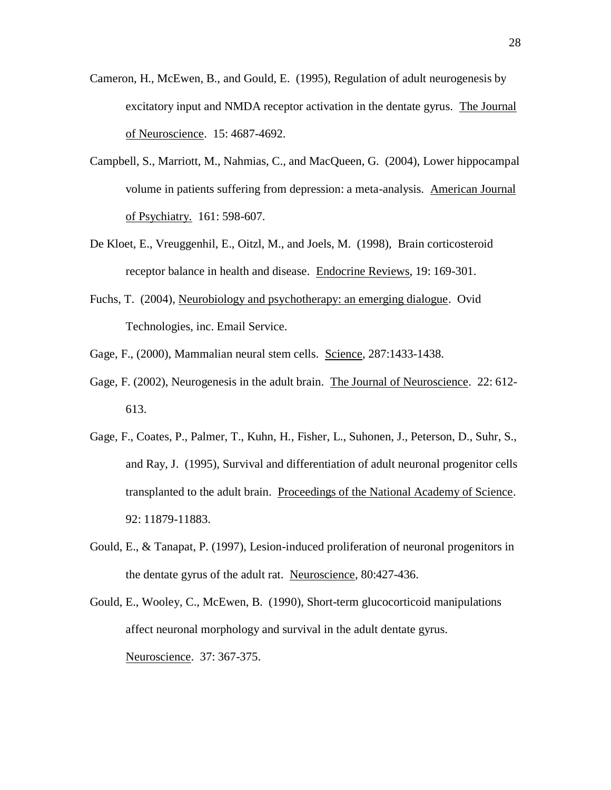- Cameron, H., McEwen, B., and Gould, E. (1995), Regulation of adult neurogenesis by excitatory input and NMDA receptor activation in the dentate gyrus. The Journal of Neuroscience. 15: 4687-4692.
- Campbell, S., Marriott, M., Nahmias, C., and MacQueen, G. (2004), Lower hippocampal volume in patients suffering from depression: a meta-analysis. American Journal of Psychiatry. 161: 598-607.
- De Kloet, E., Vreuggenhil, E., Oitzl, M., and Joels, M. (1998), Brain corticosteroid receptor balance in health and disease. Endocrine Reviews, 19: 169-301.
- Fuchs, T. (2004), Neurobiology and psychotherapy: an emerging dialogue. Ovid Technologies, inc. Email Service.
- Gage, F., (2000), Mammalian neural stem cells. Science, 287:1433-1438.
- Gage, F. (2002), Neurogenesis in the adult brain. The Journal of Neuroscience. 22: 612- 613.
- Gage, F., Coates, P., Palmer, T., Kuhn, H., Fisher, L., Suhonen, J., Peterson, D., Suhr, S., and Ray, J. (1995), Survival and differentiation of adult neuronal progenitor cells transplanted to the adult brain. Proceedings of the National Academy of Science. 92: 11879-11883.
- Gould, E., & Tanapat, P. (1997), Lesion-induced proliferation of neuronal progenitors in the dentate gyrus of the adult rat. Neuroscience, 80:427-436.
- Gould, E., Wooley, C., McEwen, B. (1990), Short-term glucocorticoid manipulations affect neuronal morphology and survival in the adult dentate gyrus. Neuroscience. 37: 367-375.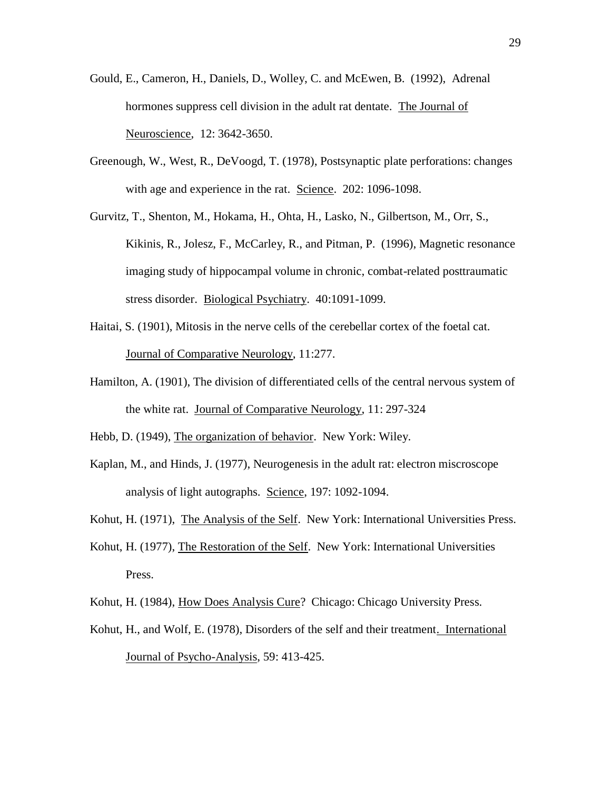- Gould, E., Cameron, H., Daniels, D., Wolley, C. and McEwen, B. (1992), Adrenal hormones suppress cell division in the adult rat dentate. The Journal of Neuroscience, 12: 3642-3650.
- Greenough, W., West, R., DeVoogd, T. (1978), Postsynaptic plate perforations: changes with age and experience in the rat. Science. 202: 1096-1098.
- Gurvitz, T., Shenton, M., Hokama, H., Ohta, H., Lasko, N., Gilbertson, M., Orr, S., Kikinis, R., Jolesz, F., McCarley, R., and Pitman, P. (1996), Magnetic resonance imaging study of hippocampal volume in chronic, combat-related posttraumatic stress disorder. Biological Psychiatry. 40:1091-1099.
- Haitai, S. (1901), Mitosis in the nerve cells of the cerebellar cortex of the foetal cat. Journal of Comparative Neurology, 11:277.
- Hamilton, A. (1901), The division of differentiated cells of the central nervous system of the white rat. Journal of Comparative Neurology, 11: 297-324
- Hebb, D. (1949), The organization of behavior. New York: Wiley.
- Kaplan, M., and Hinds, J. (1977), Neurogenesis in the adult rat: electron miscroscope analysis of light autographs. Science, 197: 1092-1094.
- Kohut, H. (1971), The Analysis of the Self. New York: International Universities Press.
- Kohut, H. (1977), The Restoration of the Self. New York: International Universities Press.
- Kohut, H. (1984), How Does Analysis Cure? Chicago: Chicago University Press.
- Kohut, H., and Wolf, E. (1978), Disorders of the self and their treatment. International Journal of Psycho-Analysis, 59: 413-425.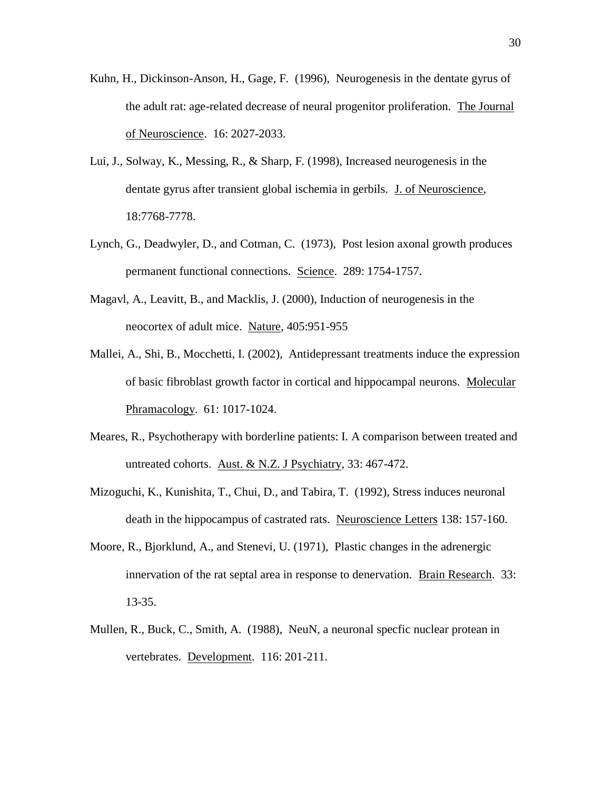- Kuhn, H., Dickinson-Anson, H., Gage, F. (1996), Neurogenesis in the dentate gyrus of the adult rat: age-related decrease of neural progenitor proliferation. The Journal of Neuroscience. 16: 2027-2033.
- Lui, J., Solway, K., Messing, R., & Sharp, F. (1998), Increased neurogenesis in the dentate gyrus after transient global ischemia in gerbils. J. of Neuroscience, 18:7768-7778.
- Lynch, G., Deadwyler, D., and Cotman, C. (1973), Post lesion axonal growth produces permanent functional connections. Science. 289: 1754-1757.
- Magavl, A., Leavitt, B., and Macklis, J. (2000), Induction of neurogenesis in the neocortex of adult mice. Nature, 405:951-955
- Mallei, A., Shi, B., Mocchetti, I. (2002), Antidepressant treatments induce the expression of basic fibroblast growth factor in cortical and hippocampal neurons. Molecular Phramacology. 61: 1017-1024.
- Meares, R., Psychotherapy with borderline patients: I. A comparison between treated and untreated cohorts. Aust. & N.Z. J Psychiatry, 33: 467-472.
- Mizoguchi, K., Kunishita, T., Chui, D., and Tabira, T. (1992), Stress induces neuronal death in the hippocampus of castrated rats. Neuroscience Letters 138: 157-160.
- Moore, R., Bjorklund, A., and Stenevi, U. (1971), Plastic changes in the adrenergic innervation of the rat septal area in response to denervation. Brain Research. 33: 13-35.
- Mullen, R., Buck, C., Smith, A. (1988), NeuN, a neuronal specfic nuclear protean in vertebrates. Development. 116: 201-211.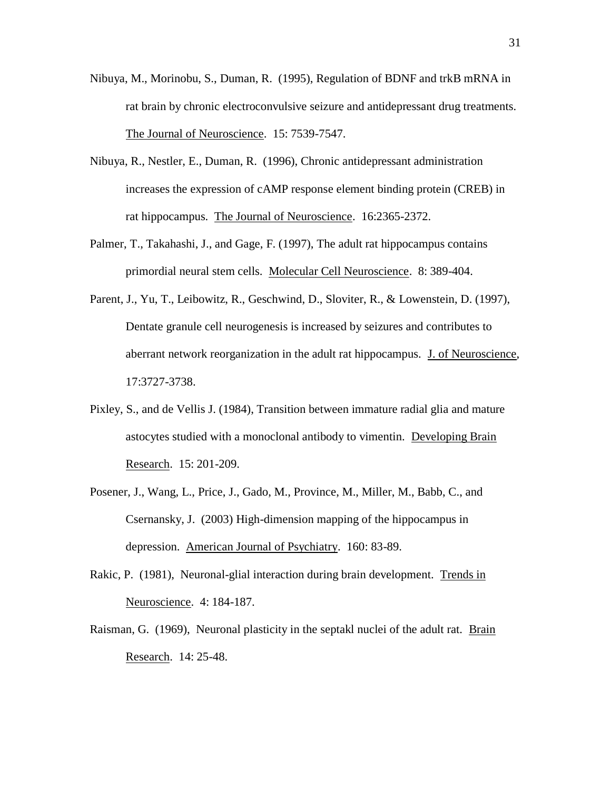- Nibuya, M., Morinobu, S., Duman, R. (1995), Regulation of BDNF and trkB mRNA in rat brain by chronic electroconvulsive seizure and antidepressant drug treatments. The Journal of Neuroscience. 15: 7539-7547.
- Nibuya, R., Nestler, E., Duman, R. (1996), Chronic antidepressant administration increases the expression of cAMP response element binding protein (CREB) in rat hippocampus. The Journal of Neuroscience. 16:2365-2372.
- Palmer, T., Takahashi, J., and Gage, F. (1997), The adult rat hippocampus contains primordial neural stem cells. Molecular Cell Neuroscience. 8: 389-404.
- Parent, J., Yu, T., Leibowitz, R., Geschwind, D., Sloviter, R., & Lowenstein, D. (1997), Dentate granule cell neurogenesis is increased by seizures and contributes to aberrant network reorganization in the adult rat hippocampus. J. of Neuroscience, 17:3727-3738.
- Pixley, S., and de Vellis J. (1984), Transition between immature radial glia and mature astocytes studied with a monoclonal antibody to vimentin. Developing Brain Research. 15: 201-209.
- Posener, J., Wang, L., Price, J., Gado, M., Province, M., Miller, M., Babb, C., and Csernansky, J. (2003) High-dimension mapping of the hippocampus in depression. American Journal of Psychiatry. 160: 83-89.
- Rakic, P. (1981), Neuronal-glial interaction during brain development. Trends in Neuroscience. 4: 184-187.
- Raisman, G. (1969), Neuronal plasticity in the septakl nuclei of the adult rat. Brain Research. 14: 25-48.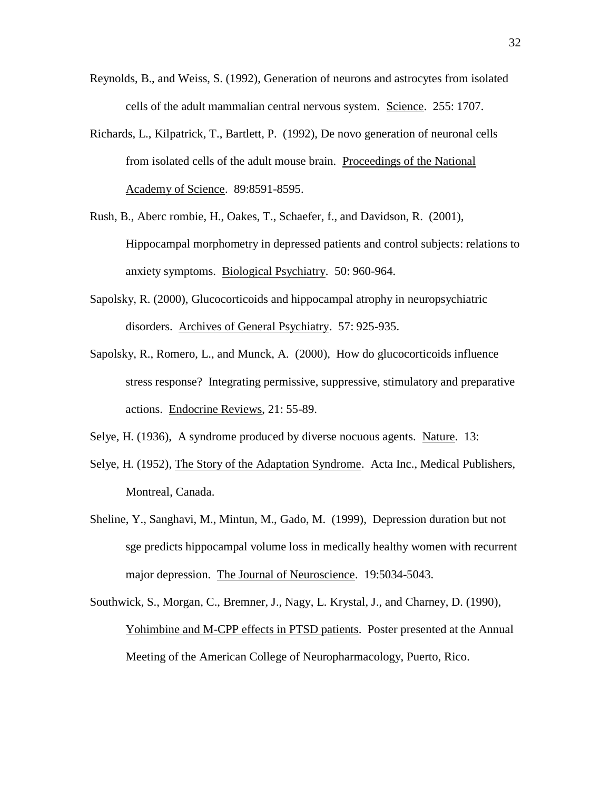- Reynolds, B., and Weiss, S. (1992), Generation of neurons and astrocytes from isolated cells of the adult mammalian central nervous system. Science. 255: 1707.
- Richards, L., Kilpatrick, T., Bartlett, P. (1992), De novo generation of neuronal cells from isolated cells of the adult mouse brain. Proceedings of the National Academy of Science. 89:8591-8595.
- Rush, B., Aberc rombie, H., Oakes, T., Schaefer, f., and Davidson, R. (2001), Hippocampal morphometry in depressed patients and control subjects: relations to anxiety symptoms. Biological Psychiatry. 50: 960-964.
- Sapolsky, R. (2000), Glucocorticoids and hippocampal atrophy in neuropsychiatric disorders. Archives of General Psychiatry. 57: 925-935.
- Sapolsky, R., Romero, L., and Munck, A. (2000), How do glucocorticoids influence stress response? Integrating permissive, suppressive, stimulatory and preparative actions. Endocrine Reviews, 21: 55-89.
- Selye, H. (1936), A syndrome produced by diverse nocuous agents. Nature. 13:
- Selye, H. (1952), The Story of the Adaptation Syndrome. Acta Inc., Medical Publishers, Montreal, Canada.
- Sheline, Y., Sanghavi, M., Mintun, M., Gado, M. (1999), Depression duration but not sge predicts hippocampal volume loss in medically healthy women with recurrent major depression. The Journal of Neuroscience. 19:5034-5043.

Southwick, S., Morgan, C., Bremner, J., Nagy, L. Krystal, J., and Charney, D. (1990), Yohimbine and M-CPP effects in PTSD patients. Poster presented at the Annual Meeting of the American College of Neuropharmacology, Puerto, Rico.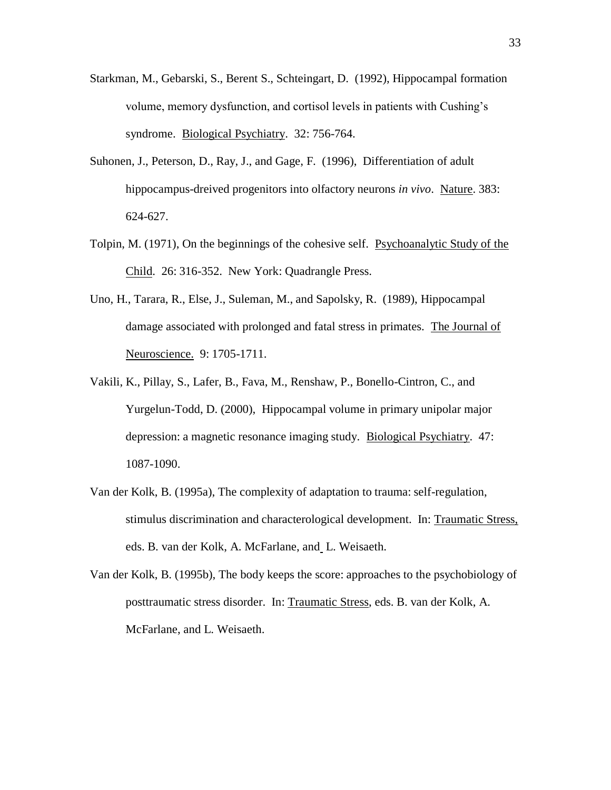- Starkman, M., Gebarski, S., Berent S., Schteingart, D. (1992), Hippocampal formation volume, memory dysfunction, and cortisol levels in patients with Cushing"s syndrome. Biological Psychiatry. 32: 756-764.
- Suhonen, J., Peterson, D., Ray, J., and Gage, F. (1996), Differentiation of adult hippocampus-dreived progenitors into olfactory neurons *in vivo*. Nature. 383: 624-627.
- Tolpin, M. (1971), On the beginnings of the cohesive self. Psychoanalytic Study of the Child. 26: 316-352. New York: Quadrangle Press.
- Uno, H., Tarara, R., Else, J., Suleman, M., and Sapolsky, R. (1989), Hippocampal damage associated with prolonged and fatal stress in primates. The Journal of Neuroscience. 9: 1705-1711.
- Vakili, K., Pillay, S., Lafer, B., Fava, M., Renshaw, P., Bonello-Cintron, C., and Yurgelun-Todd, D. (2000), Hippocampal volume in primary unipolar major depression: a magnetic resonance imaging study. Biological Psychiatry. 47: 1087-1090.
- Van der Kolk, B. (1995a), The complexity of adaptation to trauma: self-regulation, stimulus discrimination and characterological development. In: Traumatic Stress, eds. B. van der Kolk, A. McFarlane, and L. Weisaeth.
- Van der Kolk, B. (1995b), The body keeps the score: approaches to the psychobiology of posttraumatic stress disorder. In: Traumatic Stress, eds. B. van der Kolk, A. McFarlane, and L. Weisaeth.